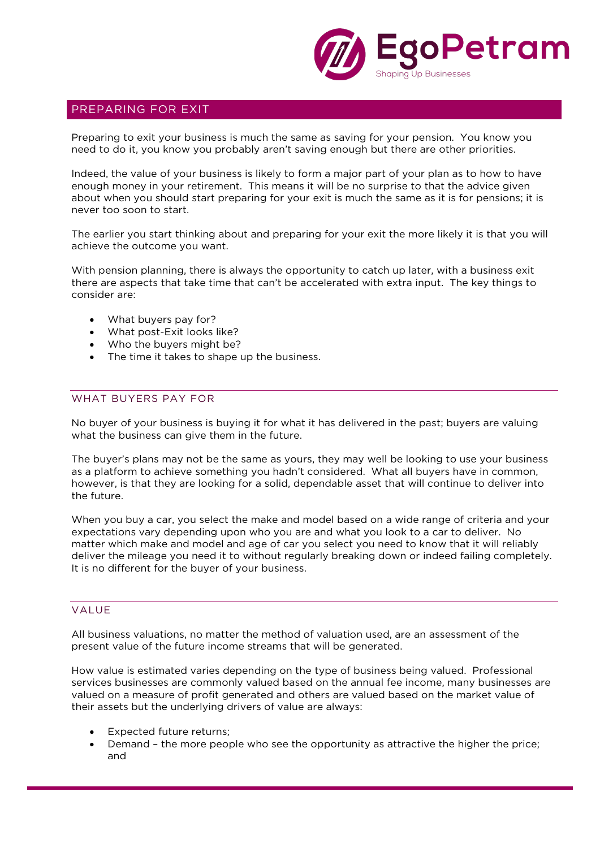

# PREPARING FOR EXIT

Preparing to exit your business is much the same as saving for your pension. You know you need to do it, you know you probably aren't saving enough but there are other priorities.

Indeed, the value of your business is likely to form a major part of your plan as to how to have enough money in your retirement. This means it will be no surprise to that the advice given about when you should start preparing for your exit is much the same as it is for pensions; it is never too soon to start.

The earlier you start thinking about and preparing for your exit the more likely it is that you will achieve the outcome you want.

With pension planning, there is always the opportunity to catch up later, with a business exit there are aspects that take time that can't be accelerated with extra input. The key things to consider are:

- What buyers pay for?
- What post-Exit looks like?
- Who the buyers might be?
- The time it takes to shape up the business.

## WHAT BUYERS PAY FOR

No buyer of your business is buying it for what it has delivered in the past; buyers are valuing what the business can give them in the future.

The buyer's plans may not be the same as yours, they may well be looking to use your business as a platform to achieve something you hadn't considered. What all buyers have in common, however, is that they are looking for a solid, dependable asset that will continue to deliver into the future.

When you buy a car, you select the make and model based on a wide range of criteria and your expectations vary depending upon who you are and what you look to a car to deliver. No matter which make and model and age of car you select you need to know that it will reliably deliver the mileage you need it to without regularly breaking down or indeed failing completely. It is no different for the buyer of your business.

### VALUE

All business valuations, no matter the method of valuation used, are an assessment of the present value of the future income streams that will be generated.

How value is estimated varies depending on the type of business being valued. Professional services businesses are commonly valued based on the annual fee income, many businesses are valued on a measure of profit generated and others are valued based on the market value of their assets but the underlying drivers of value are always:

- Expected future returns;
- Demand the more people who see the opportunity as attractive the higher the price; and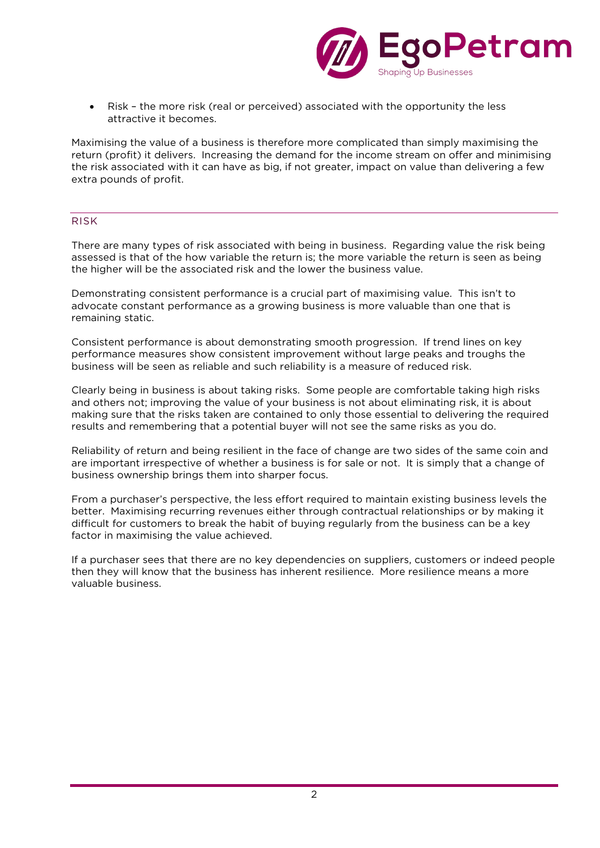

• Risk – the more risk (real or perceived) associated with the opportunity the less attractive it becomes.

Maximising the value of a business is therefore more complicated than simply maximising the return (profit) it delivers. Increasing the demand for the income stream on offer and minimising the risk associated with it can have as big, if not greater, impact on value than delivering a few extra pounds of profit.

## RISK

There are many types of risk associated with being in business. Regarding value the risk being assessed is that of the how variable the return is; the more variable the return is seen as being the higher will be the associated risk and the lower the business value.

Demonstrating consistent performance is a crucial part of maximising value. This isn't to advocate constant performance as a growing business is more valuable than one that is remaining static.

Consistent performance is about demonstrating smooth progression. If trend lines on key performance measures show consistent improvement without large peaks and troughs the business will be seen as reliable and such reliability is a measure of reduced risk.

Clearly being in business is about taking risks. Some people are comfortable taking high risks and others not; improving the value of your business is not about eliminating risk, it is about making sure that the risks taken are contained to only those essential to delivering the required results and remembering that a potential buyer will not see the same risks as you do.

Reliability of return and being resilient in the face of change are two sides of the same coin and are important irrespective of whether a business is for sale or not. It is simply that a change of business ownership brings them into sharper focus.

From a purchaser's perspective, the less effort required to maintain existing business levels the better. Maximising recurring revenues either through contractual relationships or by making it difficult for customers to break the habit of buying regularly from the business can be a key factor in maximising the value achieved.

If a purchaser sees that there are no key dependencies on suppliers, customers or indeed people then they will know that the business has inherent resilience. More resilience means a more valuable business.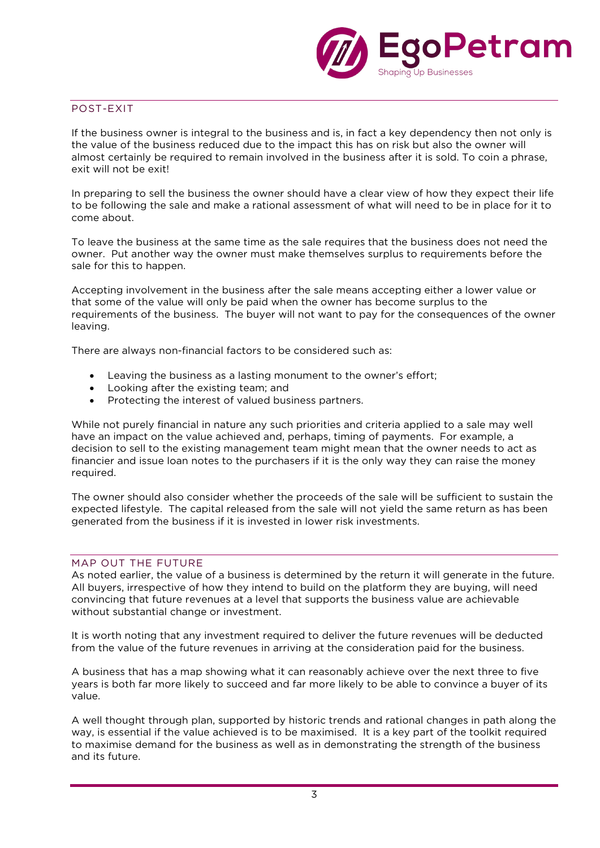

## POST-EXIT

If the business owner is integral to the business and is, in fact a key dependency then not only is the value of the business reduced due to the impact this has on risk but also the owner will almost certainly be required to remain involved in the business after it is sold. To coin a phrase, exit will not be exit!

In preparing to sell the business the owner should have a clear view of how they expect their life to be following the sale and make a rational assessment of what will need to be in place for it to come about.

To leave the business at the same time as the sale requires that the business does not need the owner. Put another way the owner must make themselves surplus to requirements before the sale for this to happen.

Accepting involvement in the business after the sale means accepting either a lower value or that some of the value will only be paid when the owner has become surplus to the requirements of the business. The buyer will not want to pay for the consequences of the owner leaving.

There are always non-financial factors to be considered such as:

- Leaving the business as a lasting monument to the owner's effort;
- Looking after the existing team; and
- Protecting the interest of valued business partners.

While not purely financial in nature any such priorities and criteria applied to a sale may well have an impact on the value achieved and, perhaps, timing of payments. For example, a decision to sell to the existing management team might mean that the owner needs to act as financier and issue loan notes to the purchasers if it is the only way they can raise the money required.

The owner should also consider whether the proceeds of the sale will be sufficient to sustain the expected lifestyle. The capital released from the sale will not yield the same return as has been generated from the business if it is invested in lower risk investments.

## MAP OUT THE FUTURE

As noted earlier, the value of a business is determined by the return it will generate in the future. All buyers, irrespective of how they intend to build on the platform they are buying, will need convincing that future revenues at a level that supports the business value are achievable without substantial change or investment.

It is worth noting that any investment required to deliver the future revenues will be deducted from the value of the future revenues in arriving at the consideration paid for the business.

A business that has a map showing what it can reasonably achieve over the next three to five years is both far more likely to succeed and far more likely to be able to convince a buyer of its value.

A well thought through plan, supported by historic trends and rational changes in path along the way, is essential if the value achieved is to be maximised. It is a key part of the toolkit required to maximise demand for the business as well as in demonstrating the strength of the business and its future.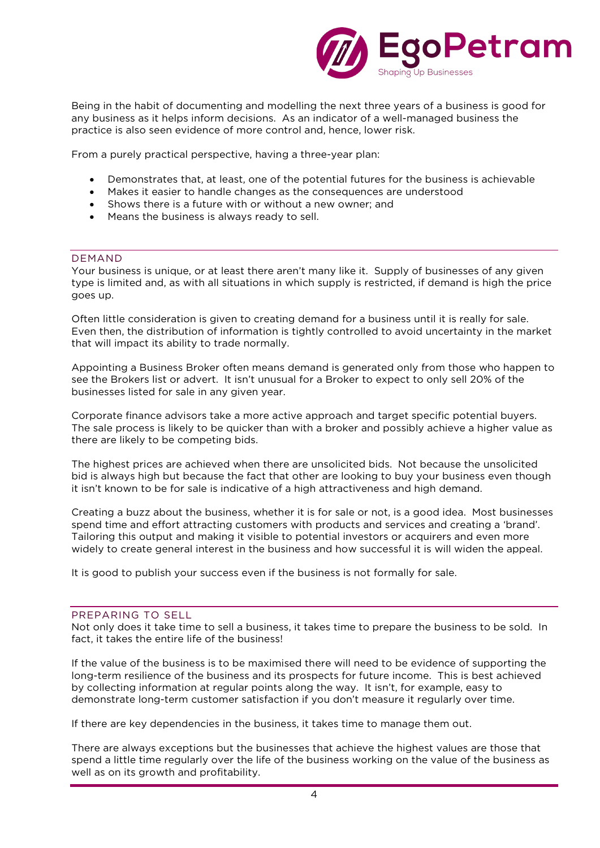

Being in the habit of documenting and modelling the next three years of a business is good for any business as it helps inform decisions. As an indicator of a well-managed business the practice is also seen evidence of more control and, hence, lower risk.

From a purely practical perspective, having a three-year plan:

- Demonstrates that, at least, one of the potential futures for the business is achievable
- Makes it easier to handle changes as the consequences are understood
- Shows there is a future with or without a new owner; and
- Means the business is always ready to sell.

### DEMAND

Your business is unique, or at least there aren't many like it. Supply of businesses of any given type is limited and, as with all situations in which supply is restricted, if demand is high the price goes up.

Often little consideration is given to creating demand for a business until it is really for sale. Even then, the distribution of information is tightly controlled to avoid uncertainty in the market that will impact its ability to trade normally.

Appointing a Business Broker often means demand is generated only from those who happen to see the Brokers list or advert. It isn't unusual for a Broker to expect to only sell 20% of the businesses listed for sale in any given year.

Corporate finance advisors take a more active approach and target specific potential buyers. The sale process is likely to be quicker than with a broker and possibly achieve a higher value as there are likely to be competing bids.

The highest prices are achieved when there are unsolicited bids. Not because the unsolicited bid is always high but because the fact that other are looking to buy your business even though it isn't known to be for sale is indicative of a high attractiveness and high demand.

Creating a buzz about the business, whether it is for sale or not, is a good idea. Most businesses spend time and effort attracting customers with products and services and creating a 'brand'. Tailoring this output and making it visible to potential investors or acquirers and even more widely to create general interest in the business and how successful it is will widen the appeal.

It is good to publish your success even if the business is not formally for sale.

### PREPARING TO SELL

Not only does it take time to sell a business, it takes time to prepare the business to be sold. In fact, it takes the entire life of the business!

If the value of the business is to be maximised there will need to be evidence of supporting the long-term resilience of the business and its prospects for future income. This is best achieved by collecting information at regular points along the way. It isn't, for example, easy to demonstrate long-term customer satisfaction if you don't measure it regularly over time.

If there are key dependencies in the business, it takes time to manage them out.

There are always exceptions but the businesses that achieve the highest values are those that spend a little time regularly over the life of the business working on the value of the business as well as on its growth and profitability.